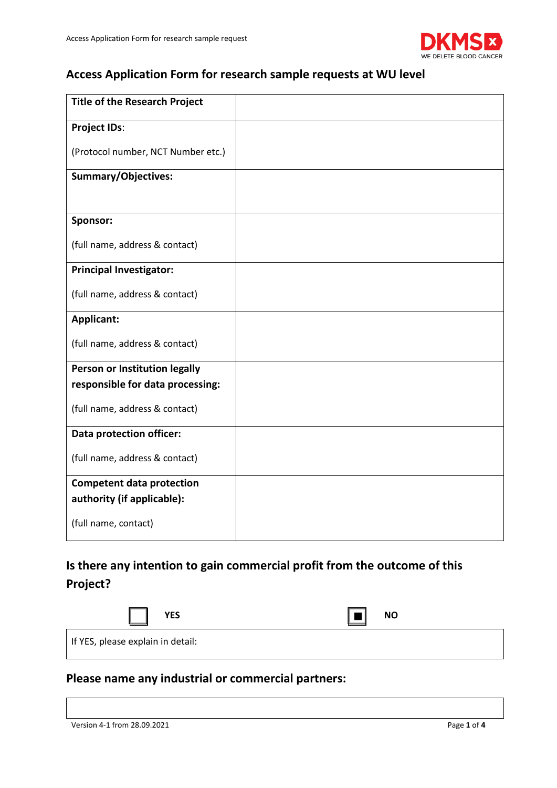

## **Access Application Form for research sample requests at WU level**

| <b>Title of the Research Project</b> |  |
|--------------------------------------|--|
| <b>Project IDs:</b>                  |  |
| (Protocol number, NCT Number etc.)   |  |
| <b>Summary/Objectives:</b>           |  |
|                                      |  |
| Sponsor:                             |  |
| (full name, address & contact)       |  |
| <b>Principal Investigator:</b>       |  |
| (full name, address & contact)       |  |
| <b>Applicant:</b>                    |  |
| (full name, address & contact)       |  |
| Person or Institution legally        |  |
| responsible for data processing:     |  |
| (full name, address & contact)       |  |
| <b>Data protection officer:</b>      |  |
| (full name, address & contact)       |  |
| <b>Competent data protection</b>     |  |
| authority (if applicable):           |  |
| (full name, contact)                 |  |

## **Is there any intention to gain commercial profit from the outcome of this Project?**

| <b>YES</b>                        | <b>NO</b> |
|-----------------------------------|-----------|
| If YES, please explain in detail: |           |

### **Please name any industrial or commercial partners:**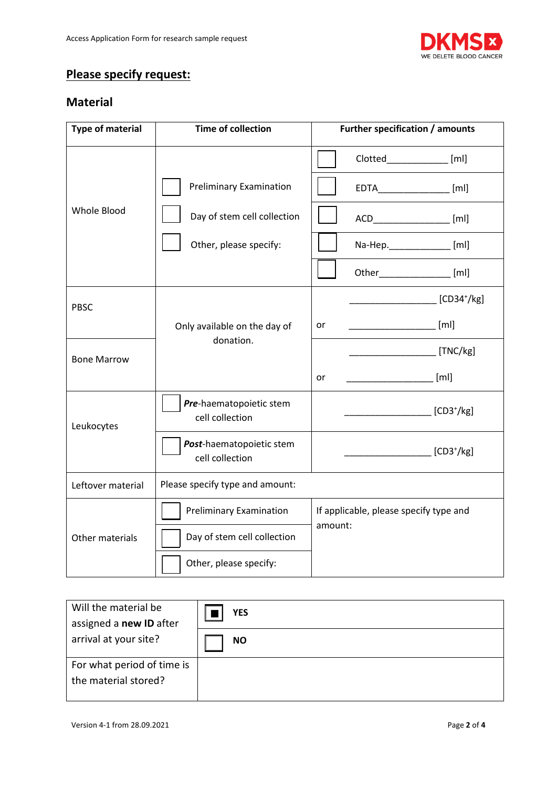

## **Please specify request:**

#### **Material**

| <b>Type of material</b> | <b>Time of collection</b>                   | Further specification / amounts                                                                                                                                                                                                                                                                                                                                                                                                                                                 |  |
|-------------------------|---------------------------------------------|---------------------------------------------------------------------------------------------------------------------------------------------------------------------------------------------------------------------------------------------------------------------------------------------------------------------------------------------------------------------------------------------------------------------------------------------------------------------------------|--|
|                         |                                             | Clotted_____________ [ml]                                                                                                                                                                                                                                                                                                                                                                                                                                                       |  |
|                         | <b>Preliminary Examination</b>              | $EDTA$ [ml]                                                                                                                                                                                                                                                                                                                                                                                                                                                                     |  |
| Whole Blood             | Day of stem cell collection                 | ACD__________________ [ml]                                                                                                                                                                                                                                                                                                                                                                                                                                                      |  |
|                         | Other, please specify:                      | Na-Hep.____________ [ml]                                                                                                                                                                                                                                                                                                                                                                                                                                                        |  |
|                         |                                             | Other_______________ [ml]                                                                                                                                                                                                                                                                                                                                                                                                                                                       |  |
| <b>PBSC</b>             |                                             | ________________________ [CD34 <sup>+</sup> /kg]                                                                                                                                                                                                                                                                                                                                                                                                                                |  |
|                         | Only available on the day of                | ______________________ [ml]<br>or                                                                                                                                                                                                                                                                                                                                                                                                                                               |  |
| <b>Bone Marrow</b>      | donation.                                   | $\overline{\phantom{a}}$ $\overline{\phantom{a}}$ $\overline{\phantom{a}}$ $\overline{\phantom{a}}$ $\overline{\phantom{a}}$ $\overline{\phantom{a}}$ $\overline{\phantom{a}}$ $\overline{\phantom{a}}$ $\overline{\phantom{a}}$ $\overline{\phantom{a}}$ $\overline{\phantom{a}}$ $\overline{\phantom{a}}$ $\overline{\phantom{a}}$ $\overline{\phantom{a}}$ $\overline{\phantom{a}}$ $\overline{\phantom{a}}$ $\overline{\phantom{a}}$ $\overline{\phantom{a}}$ $\overline{\$ |  |
|                         |                                             | [ml]<br>or                                                                                                                                                                                                                                                                                                                                                                                                                                                                      |  |
| Leukocytes              | Pre-haematopoietic stem<br>cell collection  | $\sqrt{CD3^{\dagger}/kg}$                                                                                                                                                                                                                                                                                                                                                                                                                                                       |  |
|                         | Post-haematopoietic stem<br>cell collection | $\sqrt{CD3^{\dagger}/\text{kg}}$                                                                                                                                                                                                                                                                                                                                                                                                                                                |  |
| Leftover material       | Please specify type and amount:             |                                                                                                                                                                                                                                                                                                                                                                                                                                                                                 |  |
| Other materials         | <b>Preliminary Examination</b>              | If applicable, please specify type and<br>amount:                                                                                                                                                                                                                                                                                                                                                                                                                               |  |
|                         | Day of stem cell collection                 |                                                                                                                                                                                                                                                                                                                                                                                                                                                                                 |  |
|                         | Other, please specify:                      |                                                                                                                                                                                                                                                                                                                                                                                                                                                                                 |  |

| Will the material be<br>assigned a new ID after    | <b>YES</b> |
|----------------------------------------------------|------------|
| arrival at your site?                              | <b>NO</b>  |
| For what period of time is<br>the material stored? |            |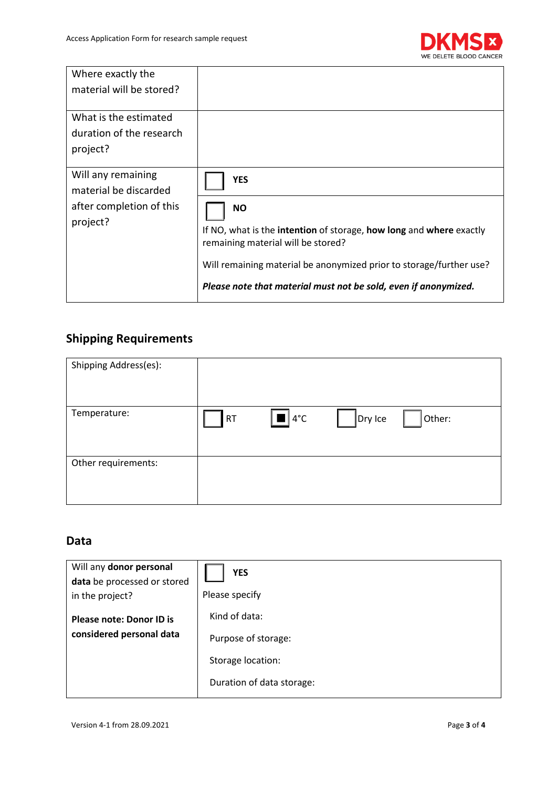

| Where exactly the<br>material will be stored?                                       |                                                                                                                                                                                                                                                                                |
|-------------------------------------------------------------------------------------|--------------------------------------------------------------------------------------------------------------------------------------------------------------------------------------------------------------------------------------------------------------------------------|
| What is the estimated<br>duration of the research<br>project?                       |                                                                                                                                                                                                                                                                                |
| Will any remaining<br>material be discarded<br>after completion of this<br>project? | <b>YES</b><br><b>NO</b><br>If NO, what is the intention of storage, how long and where exactly<br>remaining material will be stored?<br>Will remaining material be anonymized prior to storage/further use?<br>Please note that material must not be sold, even if anonymized. |

# **Shipping Requirements**

| Shipping Address(es): |         |                                   |         |        |
|-----------------------|---------|-----------------------------------|---------|--------|
| Temperature:          | RT<br>I | $\left  \blacksquare \right $ 4°C | Dry Ice | Other: |
| Other requirements:   |         |                                   |         |        |

#### **Data**

| Will any donor personal<br>data be processed or stored<br>in the project? | <b>YES</b><br>Please specify                   |
|---------------------------------------------------------------------------|------------------------------------------------|
| <b>Please note: Donor ID is</b><br>considered personal data               | Kind of data:<br>Purpose of storage:           |
|                                                                           | Storage location:<br>Duration of data storage: |